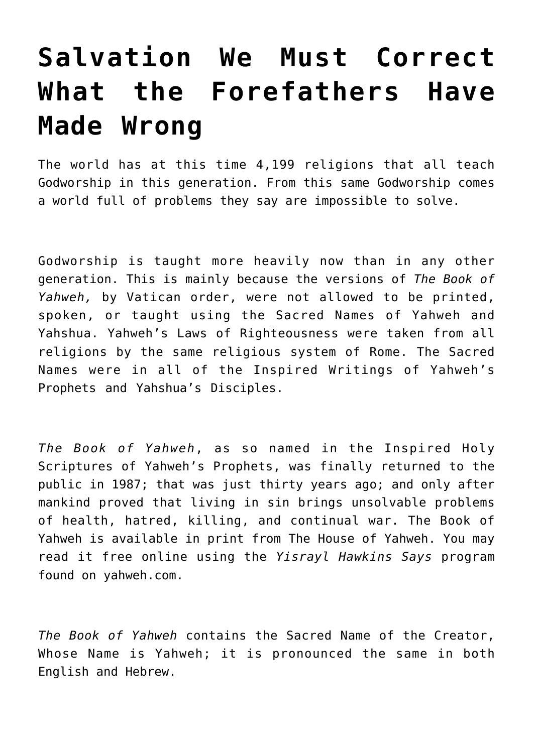# **[Salvation We Must Correct](https://yahwehsbranch.com/salvation-we-must-correct-what-the-forefathers-have-made-wrong/) [What the Forefathers Have](https://yahwehsbranch.com/salvation-we-must-correct-what-the-forefathers-have-made-wrong/) [Made Wrong](https://yahwehsbranch.com/salvation-we-must-correct-what-the-forefathers-have-made-wrong/)**

The world has at this time 4,199 religions that all teach Godworship in this generation. From this same Godworship comes a world full of problems they say are impossible to solve.

Godworship is taught more heavily now than in any other generation. This is mainly because the versions of *The Book of Yahweh,* by Vatican order, were not allowed to be printed, spoken, or taught using the Sacred Names of Yahweh and Yahshua. Yahweh's Laws of Righteousness were taken from all religions by the same religious system of Rome. The Sacred Names were in all of the Inspired Writings of Yahweh's Prophets and Yahshua's Disciples.

*The Book of Yahweh*, as so named in the Inspired Holy Scriptures of Yahweh's Prophets, was finally returned to the public in 1987; that was just thirty years ago; and only after mankind proved that living in sin brings unsolvable problems of health, hatred, killing, and continual war. The Book of Yahweh is available in print from The House of Yahweh. You may read it free online using the *Yisrayl Hawkins Says* program found on yahweh.com.

*The Book of Yahweh* contains the Sacred Name of the Creator, Whose Name is Yahweh; it is pronounced the same in both English and Hebrew.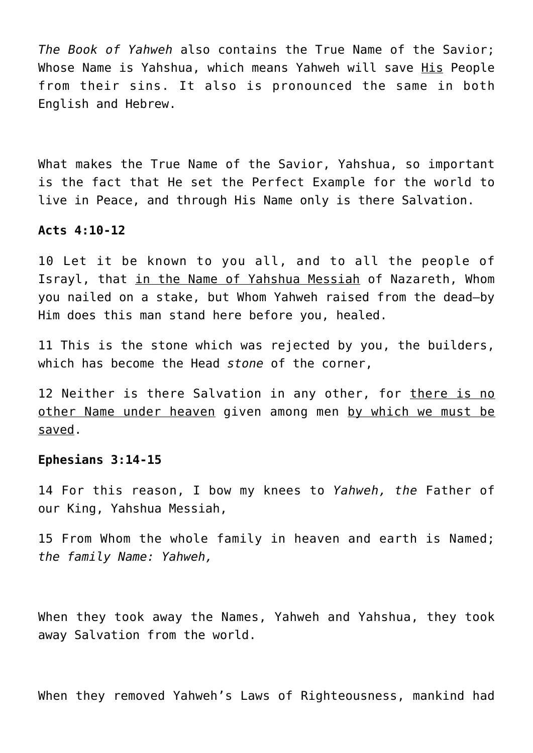*The Book of Yahweh* also contains the True Name of the Savior; Whose Name is Yahshua, which means Yahweh will save His People from their sins. It also is pronounced the same in both English and Hebrew.

What makes the True Name of the Savior, Yahshua, so important is the fact that He set the Perfect Example for the world to live in Peace, and through His Name only is there Salvation.

#### **Acts 4:10-12**

10 Let it be known to you all, and to all the people of Israyl, that in the Name of Yahshua Messiah of Nazareth, Whom you nailed on a stake, but Whom Yahweh raised from the dead—by Him does this man stand here before you, healed.

11 This is the stone which was rejected by you, the builders, which has become the Head *stone* of the corner,

12 Neither is there Salvation in any other, for there is no other Name under heaven given among men by which we must be saved.

# **Ephesians 3:14-15**

14 For this reason, I bow my knees to *Yahweh, the* Father of our King, Yahshua Messiah,

15 From Whom the whole family in heaven and earth is Named; *the family Name: Yahweh,*

When they took away the Names, Yahweh and Yahshua, they took away Salvation from the world.

When they removed Yahweh's Laws of Righteousness, mankind had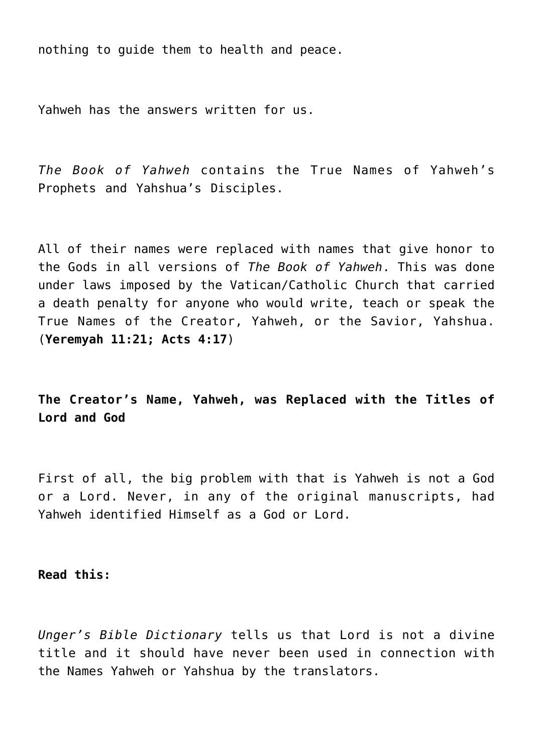nothing to guide them to health and peace.

Yahweh has the answers written for us.

*The Book of Yahweh* contains the True Names of Yahweh's Prophets and Yahshua's Disciples.

All of their names were replaced with names that give honor to the Gods in all versions of *The Book of Yahweh*. This was done under laws imposed by the Vatican/Catholic Church that carried a death penalty for anyone who would write, teach or speak the True Names of the Creator, Yahweh, or the Savior, Yahshua. (**Yeremyah 11:21; Acts 4:17**)

**The Creator's Name, Yahweh, was Replaced with the Titles of Lord and God**

First of all, the big problem with that is Yahweh is not a God or a Lord. Never, in any of the original manuscripts, had Yahweh identified Himself as a God or Lord.

**Read this:**

*Unger's Bible Dictionary* tells us that Lord is not a divine title and it should have never been used in connection with the Names Yahweh or Yahshua by the translators.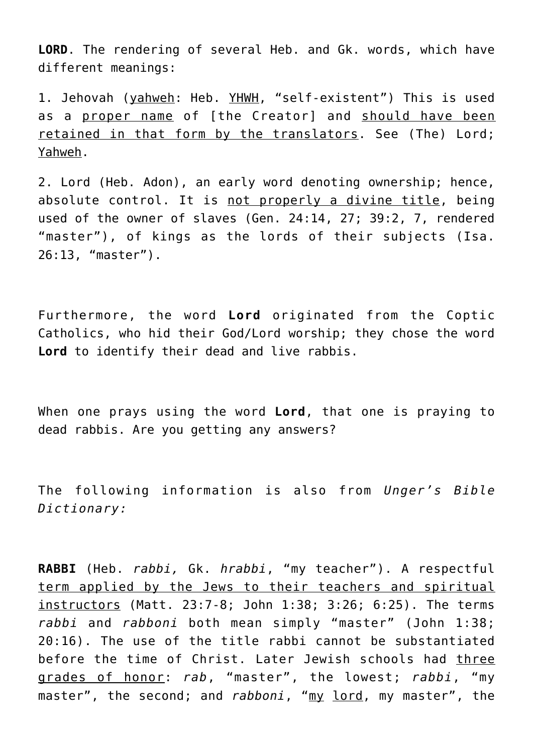**LORD**. The rendering of several Heb. and Gk. words, which have different meanings:

1. Jehovah (yahweh: Heb. YHWH, "self-existent") This is used as a proper name of [the Creator] and should have been retained in that form by the translators. See (The) Lord; Yahweh.

2. Lord (Heb. Adon), an early word denoting ownership; hence, absolute control. It is not properly a divine title, being used of the owner of slaves (Gen. 24:14, 27; 39:2, 7, rendered "master"), of kings as the lords of their subjects (Isa. 26:13, "master").

Furthermore, the word **Lord** originated from the Coptic Catholics, who hid their God/Lord worship; they chose the word **Lord** to identify their dead and live rabbis.

When one prays using the word **Lord**, that one is praying to dead rabbis. Are you getting any answers?

The following information is also from *Unger's Bible Dictionary:*

**RABBI** (Heb. *rabbi,* Gk. *hrabbi*, "my teacher"). A respectful term applied by the Jews to their teachers and spiritual instructors (Matt. 23:7-8; John 1:38; 3:26; 6:25). The terms *rabbi* and *rabboni* both mean simply "master" (John 1:38; 20:16). The use of the title rabbi cannot be substantiated before the time of Christ. Later Jewish schools had three grades of honor: *rab*, "master", the lowest; *rabbi*, "my master", the second; and *rabboni*, "my lord, my master", the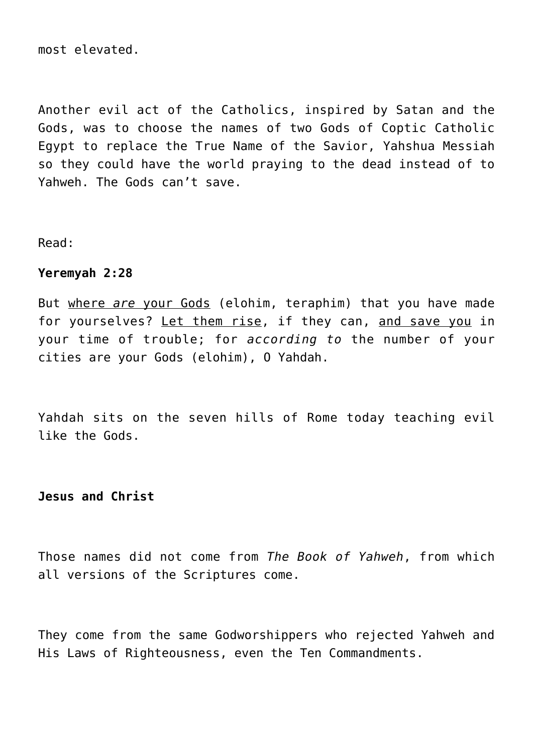most elevated.

Another evil act of the Catholics, inspired by Satan and the Gods, was to choose the names of two Gods of Coptic Catholic Egypt to replace the True Name of the Savior, Yahshua Messiah so they could have the world praying to the dead instead of to Yahweh. The Gods can't save.

Read:

#### **Yeremyah 2:28**

But where *are* your Gods (elohim, teraphim) that you have made for yourselves? Let them rise, if they can, and save you in your time of trouble; for *according to* the number of your cities are your Gods (elohim), O Yahdah.

Yahdah sits on the seven hills of Rome today teaching evil like the Gods.

### **Jesus and Christ**

Those names did not come from *The Book of Yahweh*, from which all versions of the Scriptures come.

They come from the same Godworshippers who rejected Yahweh and His Laws of Righteousness, even the Ten Commandments.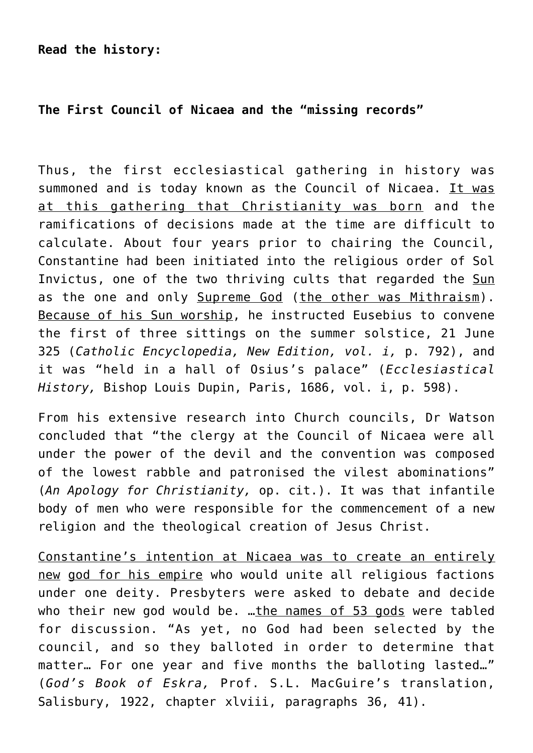# **The First Council of Nicaea and the "missing records"**

Thus, the first ecclesiastical gathering in history was summoned and is today known as the Council of Nicaea. It was at this gathering that Christianity was born and the ramifications of decisions made at the time are difficult to calculate. About four years prior to chairing the Council, Constantine had been initiated into the religious order of Sol Invictus, one of the two thriving cults that regarded the Sun as the one and only Supreme God (the other was Mithraism). Because of his Sun worship, he instructed Eusebius to convene the first of three sittings on the summer solstice, 21 June 325 (*Catholic Encyclopedia, New Edition, vol. i,* p. 792), and it was "held in a hall of Osius's palace" (*Ecclesiastical History,* Bishop Louis Dupin, Paris, 1686, vol. i, p. 598).

From his extensive research into Church councils, Dr Watson concluded that "the clergy at the Council of Nicaea were all under the power of the devil and the convention was composed of the lowest rabble and patronised the vilest abominations" (*An Apology for Christianity,* op. cit.). It was that infantile body of men who were responsible for the commencement of a new religion and the theological creation of Jesus Christ.

Constantine's intention at Nicaea was to create an entirely new god for his empire who would unite all religious factions under one deity. Presbyters were asked to debate and decide who their new god would be. …the names of 53 gods were tabled for discussion. "As yet, no God had been selected by the council, and so they balloted in order to determine that matter… For one year and five months the balloting lasted…" (*God's Book of Eskra,* Prof. S.L. MacGuire's translation, Salisbury, 1922, chapter xlviii, paragraphs 36, 41).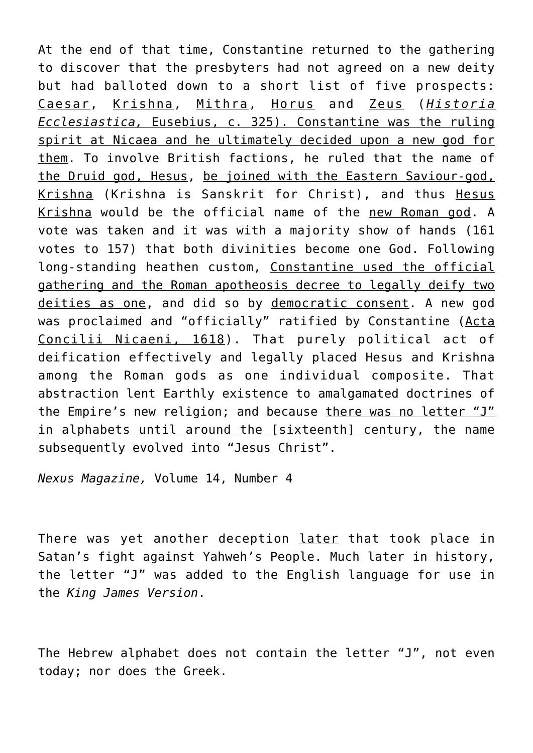At the end of that time, Constantine returned to the gathering to discover that the presbyters had not agreed on a new deity but had balloted down to a short list of five prospects: Caesar, Krishna, Mithra, Horus and Zeus (*Historia Ecclesiastica,* Eusebius, c. 325). Constantine was the ruling spirit at Nicaea and he ultimately decided upon a new god for them. To involve British factions, he ruled that the name of the Druid god, Hesus, be joined with the Eastern Saviour-god, Krishna (Krishna is Sanskrit for Christ), and thus Hesus Krishna would be the official name of the new Roman god. A vote was taken and it was with a majority show of hands (161 votes to 157) that both divinities become one God. Following long-standing heathen custom, Constantine used the official gathering and the Roman apotheosis decree to legally deify two deities as one, and did so by democratic consent. A new god was proclaimed and "officially" ratified by Constantine (Acta Concilii Nicaeni, 1618). That purely political act of deification effectively and legally placed Hesus and Krishna among the Roman gods as one individual composite. That abstraction lent Earthly existence to amalgamated doctrines of the Empire's new religion; and because there was no letter "J" in alphabets until around the [sixteenth] century, the name subsequently evolved into "Jesus Christ".

*Nexus Magazine,* Volume 14, Number 4

There was yet another deception later that took place in Satan's fight against Yahweh's People. Much later in history, the letter "J" was added to the English language for use in the *King James Version*.

The Hebrew alphabet does not contain the letter "J", not even today; nor does the Greek.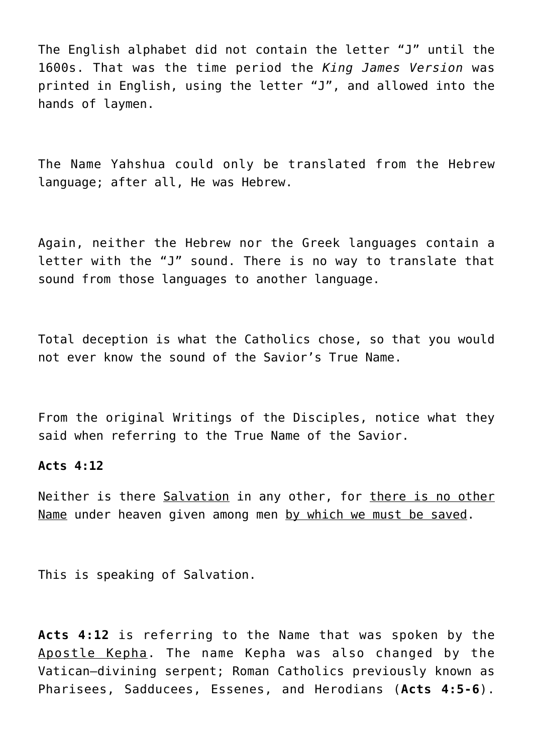The English alphabet did not contain the letter "J" until the 1600s. That was the time period the *King James Version* was printed in English, using the letter "J", and allowed into the hands of laymen.

The Name Yahshua could only be translated from the Hebrew language; after all, He was Hebrew.

Again, neither the Hebrew nor the Greek languages contain a letter with the "J" sound. There is no way to translate that sound from those languages to another language.

Total deception is what the Catholics chose, so that you would not ever know the sound of the Savior's True Name.

From the original Writings of the Disciples, notice what they said when referring to the True Name of the Savior.

#### **Acts 4:12**

Neither is there Salvation in any other, for there is no other Name under heaven given among men by which we must be saved.

This is speaking of Salvation.

**Acts 4:12** is referring to the Name that was spoken by the Apostle Kepha. The name Kepha was also changed by the Vatican—divining serpent; Roman Catholics previously known as Pharisees, Sadducees, Essenes, and Herodians (**Acts 4:5-6**).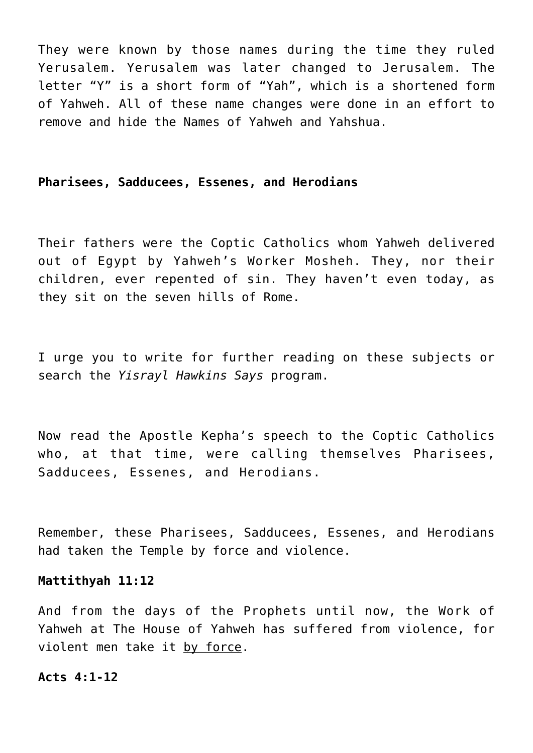They were known by those names during the time they ruled Yerusalem. Yerusalem was later changed to Jerusalem. The letter "Y" is a short form of "Yah", which is a shortened form of Yahweh. All of these name changes were done in an effort to remove and hide the Names of Yahweh and Yahshua.

#### **Pharisees, Sadducees, Essenes, and Herodians**

Their fathers were the Coptic Catholics whom Yahweh delivered out of Egypt by Yahweh's Worker Mosheh. They, nor their children, ever repented of sin. They haven't even today, as they sit on the seven hills of Rome.

I urge you to write for further reading on these subjects or search the *Yisrayl Hawkins Says* program.

Now read the Apostle Kepha's speech to the Coptic Catholics who, at that time, were calling themselves Pharisees, Sadducees, Essenes, and Herodians.

Remember, these Pharisees, Sadducees, Essenes, and Herodians had taken the Temple by force and violence.

#### **Mattithyah 11:12**

And from the days of the Prophets until now, the Work of Yahweh at The House of Yahweh has suffered from violence, for violent men take it by force.

#### **Acts 4:1-12**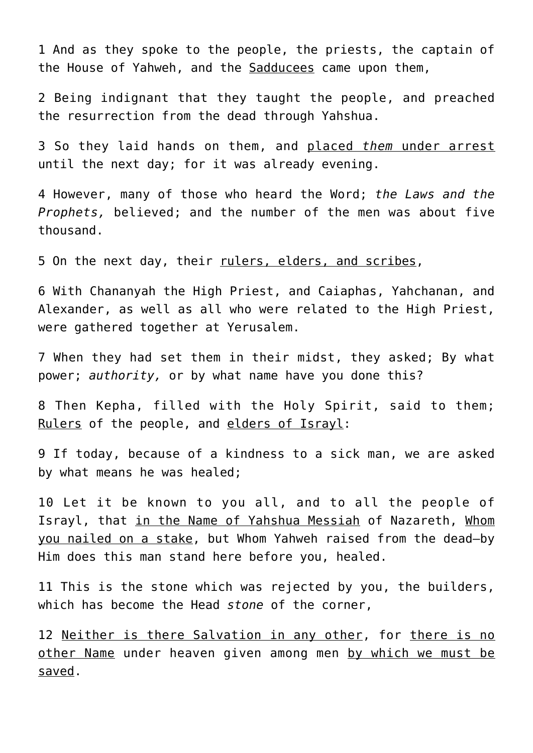1 And as they spoke to the people, the priests, the captain of the House of Yahweh, and the Sadducees came upon them,

2 Being indignant that they taught the people, and preached the resurrection from the dead through Yahshua.

3 So they laid hands on them, and placed *them* under arrest until the next day; for it was already evening.

4 However, many of those who heard the Word; *the Laws and the Prophets,* believed; and the number of the men was about five thousand.

5 On the next day, their rulers, elders, and scribes,

6 With Chananyah the High Priest, and Caiaphas, Yahchanan, and Alexander, as well as all who were related to the High Priest, were gathered together at Yerusalem.

7 When they had set them in their midst, they asked; By what power; *authority,* or by what name have you done this?

8 Then Kepha, filled with the Holy Spirit, said to them; Rulers of the people, and elders of Israyl:

9 If today, because of a kindness to a sick man, we are asked by what means he was healed;

10 Let it be known to you all, and to all the people of Israyl, that in the Name of Yahshua Messiah of Nazareth, Whom you nailed on a stake, but Whom Yahweh raised from the dead—by Him does this man stand here before you, healed.

11 This is the stone which was rejected by you, the builders, which has become the Head *stone* of the corner,

12 Neither is there Salvation in any other, for there is no other Name under heaven given among men by which we must be saved.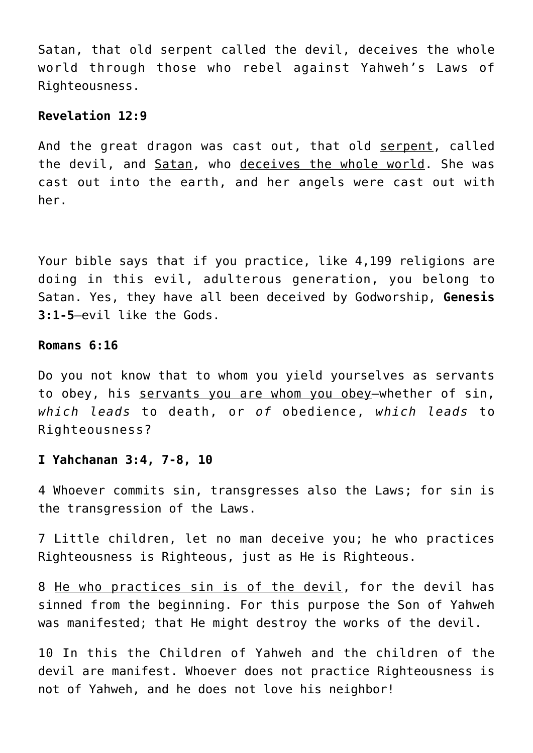Satan, that old serpent called the devil, deceives the whole world through those who rebel against Yahweh's Laws of Righteousness.

#### **Revelation 12:9**

And the great dragon was cast out, that old serpent, called the devil, and Satan, who deceives the whole world. She was cast out into the earth, and her angels were cast out with her.

Your bible says that if you practice, like 4,199 religions are doing in this evil, adulterous generation, you belong to Satan. Yes, they have all been deceived by Godworship, **Genesis 3:1-5**—evil like the Gods.

#### **Romans 6:16**

Do you not know that to whom you yield yourselves as servants to obey, his servants you are whom you obey—whether of sin, *which leads* to death, or *of* obedience, *which leads* to Righteousness?

#### **I Yahchanan 3:4, 7-8, 10**

4 Whoever commits sin, transgresses also the Laws; for sin is the transgression of the Laws.

7 Little children, let no man deceive you; he who practices Righteousness is Righteous, just as He is Righteous.

8 He who practices sin is of the devil, for the devil has sinned from the beginning. For this purpose the Son of Yahweh was manifested; that He might destroy the works of the devil.

10 In this the Children of Yahweh and the children of the devil are manifest. Whoever does not practice Righteousness is not of Yahweh, and he does not love his neighbor!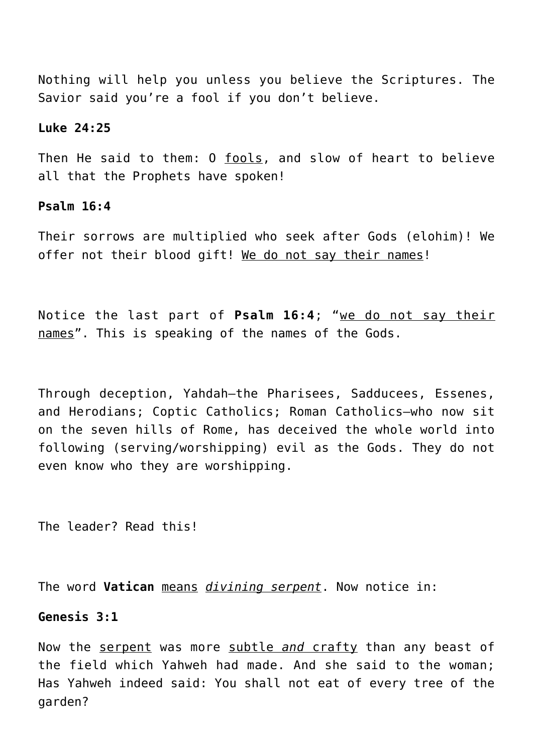Nothing will help you unless you believe the Scriptures. The Savior said you're a fool if you don't believe.

#### **Luke 24:25**

Then He said to them: O fools, and slow of heart to believe all that the Prophets have spoken!

#### **Psalm 16:4**

Their sorrows are multiplied who seek after Gods (elohim)! We offer not their blood gift! We do not say their names!

Notice the last part of **Psalm 16:4**; "we do not say their names". This is speaking of the names of the Gods.

Through deception, Yahdah—the Pharisees, Sadducees, Essenes, and Herodians; Coptic Catholics; Roman Catholics—who now sit on the seven hills of Rome, has deceived the whole world into following (serving/worshipping) evil as the Gods. They do not even know who they are worshipping.

The leader? Read this!

The word **Vatican** means *divining serpent*. Now notice in:

#### **Genesis 3:1**

Now the serpent was more subtle *and* crafty than any beast of the field which Yahweh had made. And she said to the woman; Has Yahweh indeed said: You shall not eat of every tree of the garden?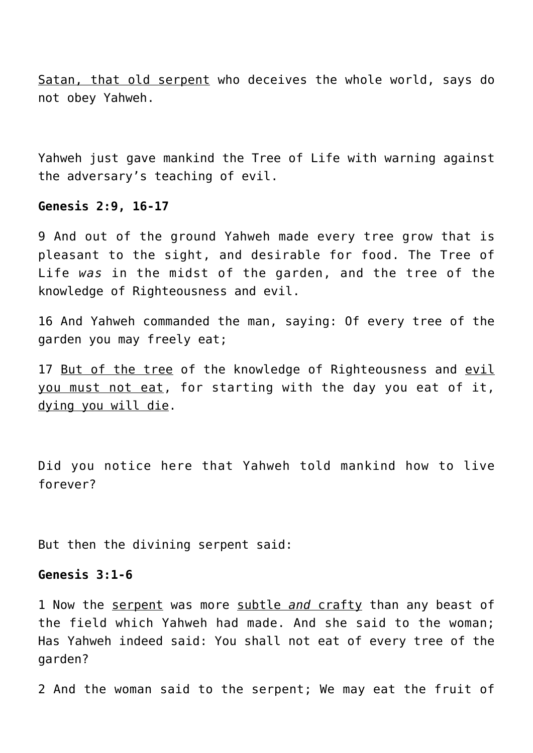Satan, that old serpent who deceives the whole world, says do not obey Yahweh.

Yahweh just gave mankind the Tree of Life with warning against the adversary's teaching of evil.

#### **Genesis 2:9, 16-17**

9 And out of the ground Yahweh made every tree grow that is pleasant to the sight, and desirable for food. The Tree of Life *was* in the midst of the garden, and the tree of the knowledge of Righteousness and evil.

16 And Yahweh commanded the man, saying: Of every tree of the garden you may freely eat;

17 But of the tree of the knowledge of Righteousness and evil you must not eat, for starting with the day you eat of it, dying you will die.

Did you notice here that Yahweh told mankind how to live forever?

But then the divining serpent said:

#### **Genesis 3:1-6**

1 Now the serpent was more subtle *and* crafty than any beast of the field which Yahweh had made. And she said to the woman; Has Yahweh indeed said: You shall not eat of every tree of the garden?

2 And the woman said to the serpent; We may eat the fruit of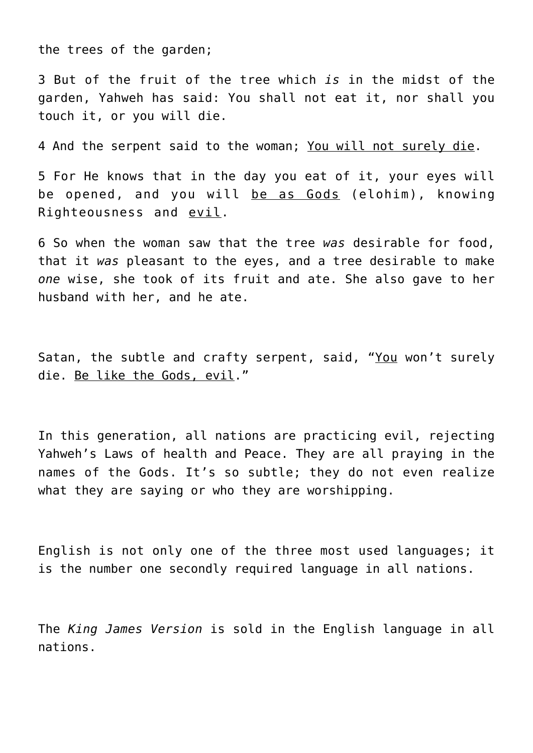the trees of the garden;

3 But of the fruit of the tree which *is* in the midst of the garden, Yahweh has said: You shall not eat it, nor shall you touch it, or you will die.

4 And the serpent said to the woman; You will not surely die.

5 For He knows that in the day you eat of it, your eyes will be opened, and you will be as Gods (elohim), knowing Righteousness and evil.

6 So when the woman saw that the tree *was* desirable for food, that it *was* pleasant to the eyes, and a tree desirable to make *one* wise, she took of its fruit and ate. She also gave to her husband with her, and he ate.

Satan, the subtle and crafty serpent, said, "You won't surely die. Be like the Gods, evil."

In this generation, all nations are practicing evil, rejecting Yahweh's Laws of health and Peace. They are all praying in the names of the Gods. It's so subtle; they do not even realize what they are saying or who they are worshipping.

English is not only one of the three most used languages; it is the number one secondly required language in all nations.

The *King James Version* is sold in the English language in all nations.